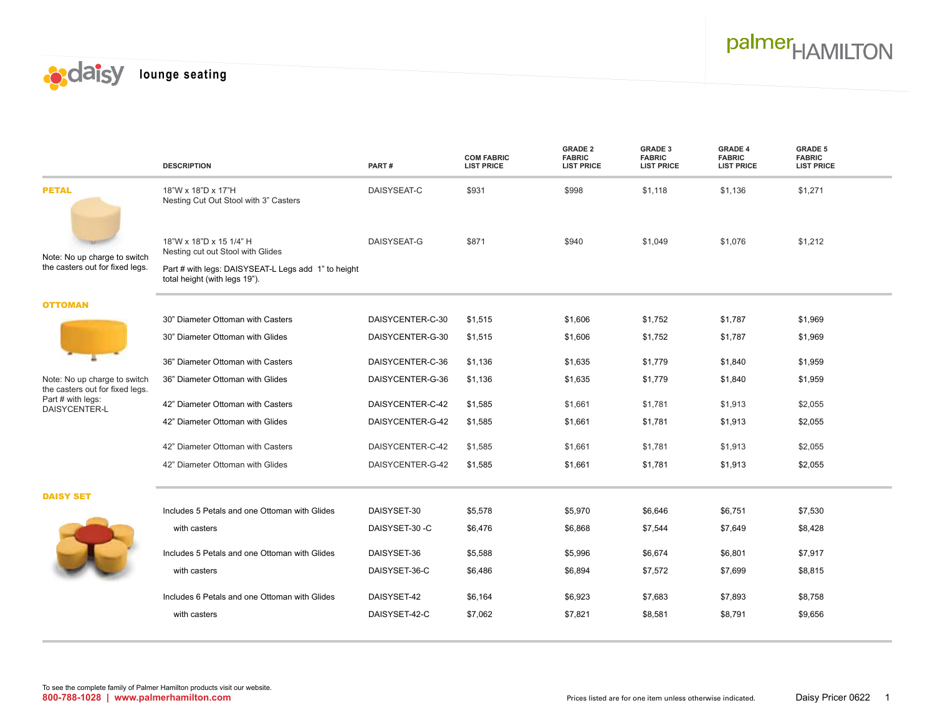



|                                                                                                       | <b>DESCRIPTION</b>                                                                   | PART#            | <b>COM FABRIC</b><br><b>LIST PRICE</b> | <b>GRADE 2</b><br><b>FABRIC</b><br><b>LIST PRICE</b> | <b>GRADE 3</b><br><b>FABRIC</b><br><b>LIST PRICE</b> | <b>GRADE 4</b><br><b>FABRIC</b><br><b>LIST PRICE</b> | <b>GRADE 5</b><br><b>FABRIC</b><br><b>LIST PRICE</b> |
|-------------------------------------------------------------------------------------------------------|--------------------------------------------------------------------------------------|------------------|----------------------------------------|------------------------------------------------------|------------------------------------------------------|------------------------------------------------------|------------------------------------------------------|
| <b>PETAL</b>                                                                                          | 18"W x 18"D x 17"H<br>Nesting Cut Out Stool with 3" Casters                          | DAISYSEAT-C      | \$931                                  | \$998                                                | \$1,118                                              | \$1,136                                              | \$1,271                                              |
| Note: No up charge to switch<br>the casters out for fixed legs.                                       | 18"W x 18"D x 15 1/4" H<br>Nesting cut out Stool with Glides                         | DAISYSEAT-G      | \$871                                  | \$940                                                | \$1,049                                              | \$1,076                                              | \$1,212                                              |
|                                                                                                       | Part # with legs: DAISYSEAT-L Legs add 1" to height<br>total height (with legs 19"). |                  |                                        |                                                      |                                                      |                                                      |                                                      |
| <b>OTTOMAN</b>                                                                                        |                                                                                      |                  |                                        |                                                      |                                                      |                                                      |                                                      |
|                                                                                                       | 30" Diameter Ottoman with Casters                                                    | DAISYCENTER-C-30 | \$1,515                                | \$1,606                                              | \$1,752                                              | \$1,787                                              | \$1,969                                              |
|                                                                                                       | 30" Diameter Ottoman with Glides                                                     | DAISYCENTER-G-30 | \$1,515                                | \$1,606                                              | \$1,752                                              | \$1,787                                              | \$1,969                                              |
|                                                                                                       | 36" Diameter Ottoman with Casters                                                    | DAISYCENTER-C-36 | \$1,136                                | \$1,635                                              | \$1,779                                              | \$1,840                                              | \$1,959                                              |
| Note: No up charge to switch<br>the casters out for fixed legs.<br>Part # with legs:<br>DAISYCENTER-L | 36" Diameter Ottoman with Glides                                                     | DAISYCENTER-G-36 | \$1,136                                | \$1,635                                              | \$1,779                                              | \$1,840                                              | \$1,959                                              |
|                                                                                                       | 42" Diameter Ottoman with Casters                                                    | DAISYCENTER-C-42 | \$1,585                                | \$1,661                                              | \$1,781                                              | \$1,913                                              | \$2,055                                              |
|                                                                                                       | 42" Diameter Ottoman with Glides                                                     | DAISYCENTER-G-42 | \$1,585                                | \$1,661                                              | \$1,781                                              | \$1,913                                              | \$2,055                                              |
|                                                                                                       | 42" Diameter Ottoman with Casters                                                    | DAISYCENTER-C-42 | \$1,585                                | \$1,661                                              | \$1,781                                              | \$1,913                                              | \$2,055                                              |
|                                                                                                       | 42" Diameter Ottoman with Glides                                                     | DAISYCENTER-G-42 | \$1,585                                | \$1,661                                              | \$1,781                                              | \$1,913                                              | \$2,055                                              |
| <b>DAISY SET</b>                                                                                      |                                                                                      |                  |                                        |                                                      |                                                      |                                                      |                                                      |
|                                                                                                       | Includes 5 Petals and one Ottoman with Glides                                        | DAISYSET-30      | \$5,578                                | \$5,970                                              | \$6,646                                              | \$6,751                                              | \$7,530                                              |
|                                                                                                       | with casters                                                                         | DAISYSET-30-C    | \$6,476                                | \$6,868                                              | \$7,544                                              | \$7,649                                              | \$8,428                                              |
|                                                                                                       | Includes 5 Petals and one Ottoman with Glides                                        | DAISYSET-36      | \$5,588                                | \$5,996                                              | \$6,674                                              | \$6,801                                              | \$7,917                                              |
|                                                                                                       | with casters                                                                         | DAISYSET-36-C    | \$6,486                                | \$6,894                                              | \$7,572                                              | \$7,699                                              | \$8,815                                              |
|                                                                                                       | Includes 6 Petals and one Ottoman with Glides                                        | DAISYSET-42      | \$6,164                                | \$6,923                                              | \$7,683                                              | \$7,893                                              | \$8,758                                              |
|                                                                                                       | with casters                                                                         | DAISYSET-42-C    | \$7,062                                | \$7,821                                              | \$8,581                                              | \$8,791                                              | \$9,656                                              |